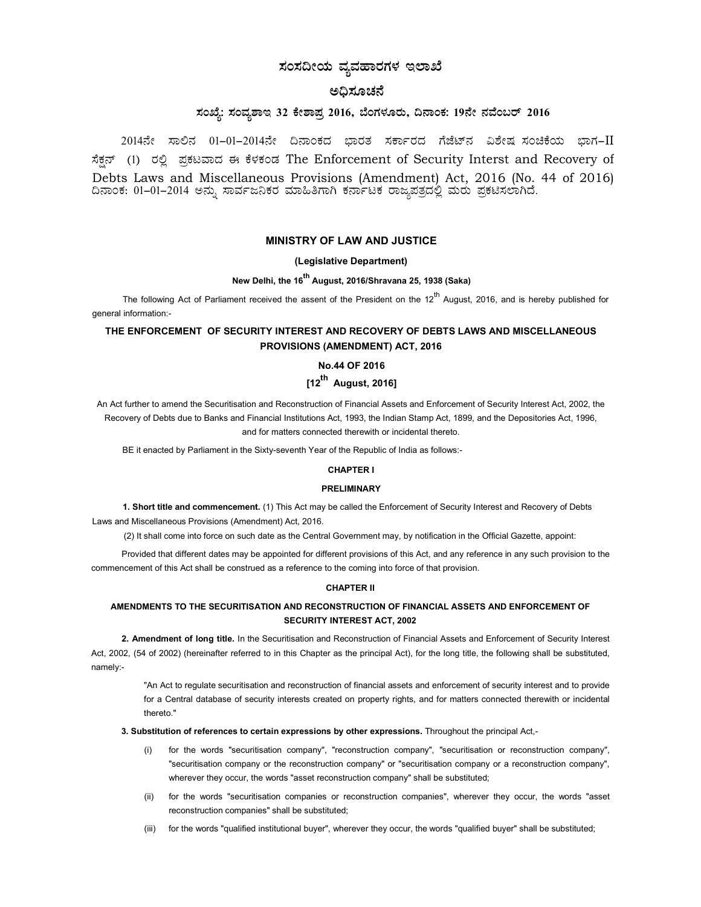# ಸಂಸದೀಯ ವ್ಯವಹಾರಗಳ ಇಲಾಖೆ

# ಅಧಿಸೂಚನೆ

# ಸಂಖ್ಯೆ: ಸಂವ್ನಶಾಇ 32 ಕೇಶಾಪ್ರ 2016, ಬೆಂಗಳೂರು, ದಿನಾಂಕ: 19ನೇ ನವೆಂಬರ್ 2016

 $2014$ ನೇ ಸಾಲಿನ  $01-01-2014$ ನೇ ದಿನಾಂಕದ ಭಾರತ ಸರ್ಕಾರದ ಗೆಜೆಟ್ನ ವಿಶೇಷ $i$ ನಂಚಿಕೆಯ ಭಾಗ– $II$ ಸೆಕನ್ (1) ರಲ್ಲಿ ಪ್ರಕಟವಾದ ಈ ಕೆಳಕಂಡ The Enforcement of Security Interst and Recovery of Debts Laws and Miscellaneous Provisions (Amendment) Act, 2016 (No. 44 of 2016) ದಿನಾಂಕ: 01–01–2014 ಅನ್ನು ಸಾರ್ವಜನಿಕರ ಮಾಹಿತಿಗಾಗಿ ಕರ್ನಾಟಕ ರಾಜ್ಯಪತ್ರದಲ್ಲಿ ಮರು ಪ್ರಕಟಿಸಲಾಗಿದೆ.

# MINISTRY OF LAW AND JUSTICE

# (Legislative Department)

# New Delhi, the 16<sup>th</sup> August, 2016/Shravana 25, 1938 (Saka)

The following Act of Parliament received the assent of the President on the 12<sup>th</sup> August, 2016, and is hereby published for general information:-

# THE ENFORCEMENT OF SECURITY INTEREST AND RECOVERY OF DEBTS LAWS AND MISCELLANEOUS PROVISIONS (AMENDMENT) ACT, 2016

# No.44 OF 2016

# $[12^{th}$  August, 2016]

An Act further to amend the Securitisation and Reconstruction of Financial Assets and Enforcement of Security Interest Act, 2002, the Recovery of Debts due to Banks and Financial Institutions Act, 1993, the Indian Stamp Act, 1899, and the Depositories Act, 1996, and for matters connected therewith or incidental thereto.

BE it enacted by Parliament in the Sixty-seventh Year of the Republic of India as follows:-

### CHAPTER I

#### PRELIMINARY

1. Short title and commencement. (1) This Act may be called the Enforcement of Security Interest and Recovery of Debts Laws and Miscellaneous Provisions (Amendment) Act, 2016.

(2) It shall come into force on such date as the Central Government may, by notification in the Official Gazette, appoint:

Provided that different dates may be appointed for different provisions of this Act, and any reference in any such provision to the commencement of this Act shall be construed as a reference to the coming into force of that provision.

# CHAPTER II

# AMENDMENTS TO THE SECURITISATION AND RECONSTRUCTION OF FINANCIAL ASSETS AND ENFORCEMENT OF SECURITY INTEREST ACT, 2002

2. Amendment of long title. In the Securitisation and Reconstruction of Financial Assets and Enforcement of Security Interest Act, 2002, (54 of 2002) (hereinafter referred to in this Chapter as the principal Act), for the long title, the following shall be substituted, namely:-

"An Act to regulate securitisation and reconstruction of financial assets and enforcement of security interest and to provide for a Central database of security interests created on property rights, and for matters connected therewith or incidental thereto."

## 3. Substitution of references to certain expressions by other expressions. Throughout the principal Act,-

- (i) for the words "securitisation company", "reconstruction company", "securitisation or reconstruction company", "securitisation company or the reconstruction company" or "securitisation company or a reconstruction company", wherever they occur, the words "asset reconstruction company" shall be substituted;
- (ii) for the words "securitisation companies or reconstruction companies", wherever they occur, the words "asset reconstruction companies" shall be substituted;
- (iii) for the words "qualified institutional buyer", wherever they occur, the words "qualified buyer" shall be substituted;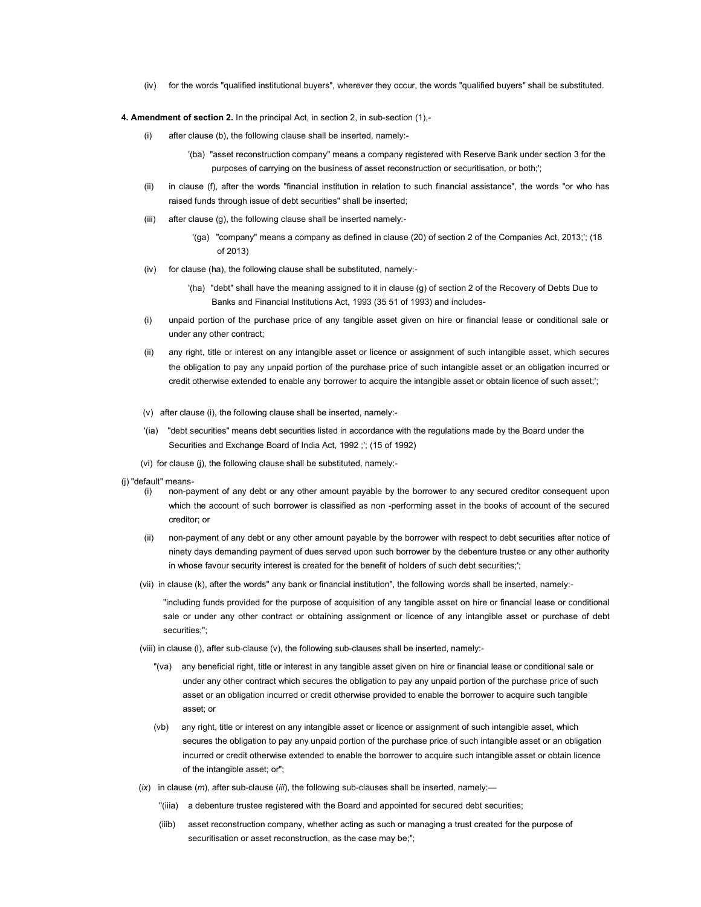(iv) for the words "qualified institutional buyers", wherever they occur, the words "qualified buyers" shall be substituted.

4. Amendment of section 2. In the principal Act, in section 2, in sub-section (1),-

- (i) after clause (b), the following clause shall be inserted, namely:-
	- '(ba) "asset reconstruction company" means a company registered with Reserve Bank under section 3 for the purposes of carrying on the business of asset reconstruction or securitisation, or both;';
- (ii) in clause (f), after the words "financial institution in relation to such financial assistance", the words "or who has raised funds through issue of debt securities" shall be inserted;
- (iii) after clause (g), the following clause shall be inserted namely:-
	- '(ga) "company" means a company as defined in clause (20) of section 2 of the Companies Act, 2013;'; (18 of 2013)
- (iv) for clause (ha), the following clause shall be substituted, namely:-
	- '(ha) "debt" shall have the meaning assigned to it in clause (g) of section 2 of the Recovery of Debts Due to Banks and Financial Institutions Act, 1993 (35 51 of 1993) and includes-
- (i) unpaid portion of the purchase price of any tangible asset given on hire or financial lease or conditional sale or under any other contract;
- (ii) any right, title or interest on any intangible asset or licence or assignment of such intangible asset, which secures the obligation to pay any unpaid portion of the purchase price of such intangible asset or an obligation incurred or credit otherwise extended to enable any borrower to acquire the intangible asset or obtain licence of such asset;';
- (v) after clause (i), the following clause shall be inserted, namely:-
- '(ia) "debt securities" means debt securities listed in accordance with the regulations made by the Board under the Securities and Exchange Board of India Act, 1992 ;'; (15 of 1992)
- (vi) for clause (j), the following clause shall be substituted, namely:-
- (j) "default" means-
	- (i) non-payment of any debt or any other amount payable by the borrower to any secured creditor consequent upon which the account of such borrower is classified as non -performing asset in the books of account of the secured creditor; or
	- (ii) non-payment of any debt or any other amount payable by the borrower with respect to debt securities after notice of ninety days demanding payment of dues served upon such borrower by the debenture trustee or any other authority in whose favour security interest is created for the benefit of holders of such debt securities;';
	- (vii) in clause (k), after the words" any bank or financial institution", the following words shall be inserted, namely:-
		- "including funds provided for the purpose of acquisition of any tangible asset on hire or financial lease or conditional sale or under any other contract or obtaining assignment or licence of any intangible asset or purchase of debt securities;";
	- (viii) in clause (l), after sub-clause (v), the following sub-clauses shall be inserted, namely:-
		- "(va) any beneficial right, title or interest in any tangible asset given on hire or financial lease or conditional sale or under any other contract which secures the obligation to pay any unpaid portion of the purchase price of such asset or an obligation incurred or credit otherwise provided to enable the borrower to acquire such tangible asset; or
		- (vb) any right, title or interest on any intangible asset or licence or assignment of such intangible asset, which secures the obligation to pay any unpaid portion of the purchase price of such intangible asset or an obligation incurred or credit otherwise extended to enable the borrower to acquire such intangible asset or obtain licence of the intangible asset; or";
	- $(ix)$  in clause  $(m)$ , after sub-clause (iii), the following sub-clauses shall be inserted, namely:-
		- "(iiia) a debenture trustee registered with the Board and appointed for secured debt securities;
		- (iiib) asset reconstruction company, whether acting as such or managing a trust created for the purpose of securitisation or asset reconstruction, as the case may be;";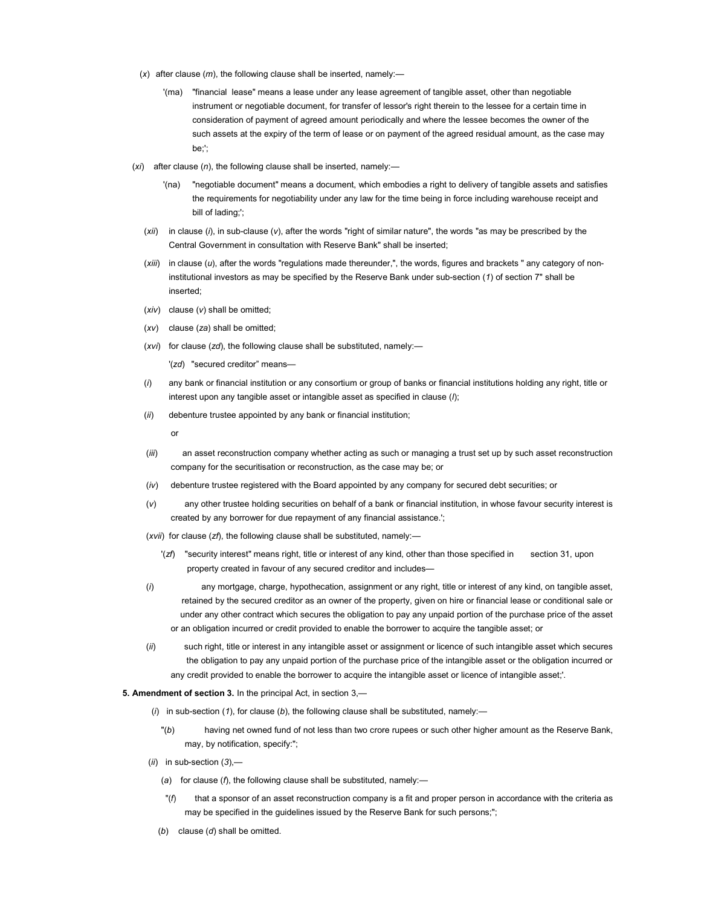- (x) after clause  $(m)$ , the following clause shall be inserted, namely:-
	- '(ma) "financial lease" means a lease under any lease agreement of tangible asset, other than negotiable instrument or negotiable document, for transfer of lessor's right therein to the lessee for a certain time in consideration of payment of agreed amount periodically and where the lessee becomes the owner of the such assets at the expiry of the term of lease or on payment of the agreed residual amount, as the case may be;';
- $(xi)$  after clause  $(n)$ , the following clause shall be inserted, namely:
	- '(na) "negotiable document" means a document, which embodies a right to delivery of tangible assets and satisfies the requirements for negotiability under any law for the time being in force including warehouse receipt and bill of lading;';
	- $(xii)$  in clause (i), in sub-clause (v), after the words "right of similar nature", the words "as may be prescribed by the Central Government in consultation with Reserve Bank" shall be inserted;
	- $(xiii)$  in clause  $(u)$ , after the words "regulations made thereunder,", the words, figures and brackets " any category of non institutional investors as may be specified by the Reserve Bank under sub-section (1) of section 7" shall be inserted;
	- $(xiv)$  clause  $(v)$  shall be omitted;
	- $(xv)$  clause  $(za)$  shall be omitted;
	- (xvi) for clause (zd), the following clause shall be substituted, namely:—

'(zd) "secured creditor" means—

- $(i)$  any bank or financial institution or any consortium or group of banks or financial institutions holding any right, title or interest upon any tangible asset or intangible asset as specified in clause  $(l)$ ;
- (ii) debenture trustee appointed by any bank or financial institution;

or

- (iii) an asset reconstruction company whether acting as such or managing a trust set up by such asset reconstruction company for the securitisation or reconstruction, as the case may be; or
- (iv) debenture trustee registered with the Board appointed by any company for secured debt securities; or
- (v) any other trustee holding securities on behalf of a bank or financial institution, in whose favour security interest is created by any borrower for due repayment of any financial assistance.';
- ( $xvii$ ) for clause ( $zf$ ), the following clause shall be substituted, namely:-
	- '(zf) "security interest" means right, title or interest of any kind, other than those specified in section 31, upon property created in favour of any secured creditor and includes—
- (i) any mortgage, charge, hypothecation, assignment or any right, title or interest of any kind, on tangible asset, retained by the secured creditor as an owner of the property, given on hire or financial lease or conditional sale or under any other contract which secures the obligation to pay any unpaid portion of the purchase price of the asset or an obligation incurred or credit provided to enable the borrower to acquire the tangible asset; or
- (ii) such right, title or interest in any intangible asset or assignment or licence of such intangible asset which secures the obligation to pay any unpaid portion of the purchase price of the intangible asset or the obligation incurred or any credit provided to enable the borrower to acquire the intangible asset or licence of intangible asset;'.

### 5. Amendment of section 3. In the principal Act, in section 3,—

- (i) in sub-section (1), for clause (b), the following clause shall be substituted, namely:-
	- "(b) having net owned fund of not less than two crore rupees or such other higher amount as the Reserve Bank, may, by notification, specify:";
- $(ii)$  in sub-section  $(3)$ ,-
	- (a) for clause (f), the following clause shall be substituted, namely:—
	- $\eta$  that a sponsor of an asset reconstruction company is a fit and proper person in accordance with the criteria as may be specified in the guidelines issued by the Reserve Bank for such persons;";
	- (b) clause  $(d)$  shall be omitted.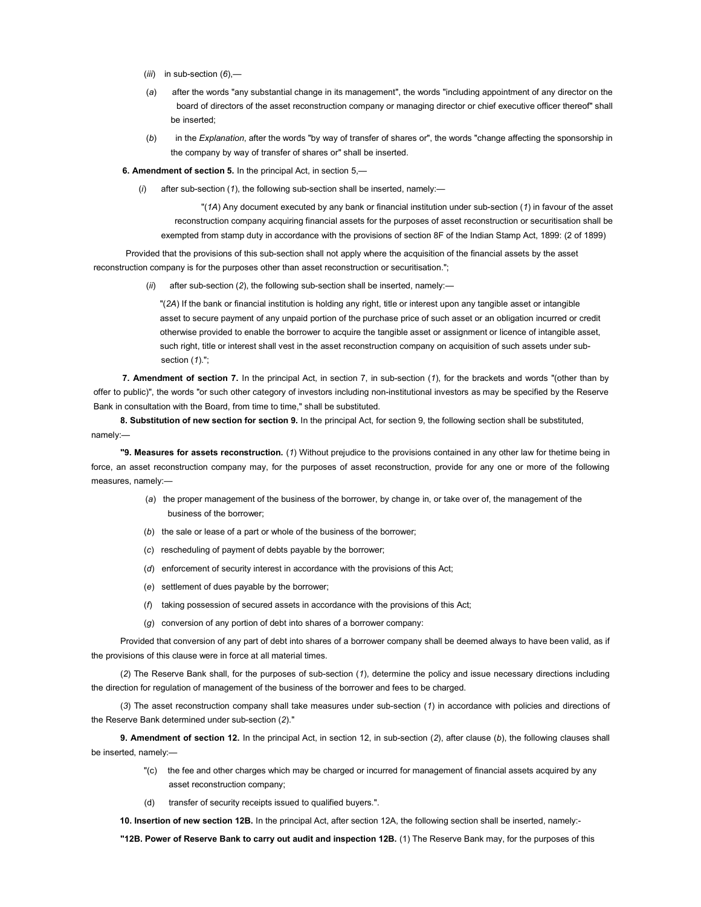- $(iii)$  in sub-section  $(6)$ ,—
- (a) after the words "any substantial change in its management", the words "including appointment of any director on the board of directors of the asset reconstruction company or managing director or chief executive officer thereof" shall be inserted;
- (b) in the Explanation, after the words "by way of transfer of shares or", the words "change affecting the sponsorship in the company by way of transfer of shares or" shall be inserted.

6. Amendment of section 5. In the principal Act, in section 5,—

after sub-section (1), the following sub-section shall be inserted, namely:-

"(1A) Any document executed by any bank or financial institution under sub-section (1) in favour of the asset reconstruction company acquiring financial assets for the purposes of asset reconstruction or securitisation shall be exempted from stamp duty in accordance with the provisions of section 8F of the Indian Stamp Act, 1899: (2 of 1899)

Provided that the provisions of this sub-section shall not apply where the acquisition of the financial assets by the asset reconstruction company is for the purposes other than asset reconstruction or securitisation.";

after sub-section (2), the following sub-section shall be inserted, namely:-

"(2A) If the bank or financial institution is holding any right, title or interest upon any tangible asset or intangible asset to secure payment of any unpaid portion of the purchase price of such asset or an obligation incurred or credit otherwise provided to enable the borrower to acquire the tangible asset or assignment or licence of intangible asset, such right, title or interest shall vest in the asset reconstruction company on acquisition of such assets under subsection (1).";

7. Amendment of section 7. In the principal Act, in section 7, in sub-section (1), for the brackets and words "(other than by offer to public)", the words "or such other category of investors including non-institutional investors as may be specified by the Reserve Bank in consultation with the Board, from time to time," shall be substituted.

8. Substitution of new section for section 9. In the principal Act, for section 9, the following section shall be substituted, namely:—

"9. Measures for assets reconstruction. (1) Without prejudice to the provisions contained in any other law for thetime being in force, an asset reconstruction company may, for the purposes of asset reconstruction, provide for any one or more of the following measures, namely:—

- (a) the proper management of the business of the borrower, by change in, or take over of, the management of the business of the borrower;
- (b) the sale or lease of a part or whole of the business of the borrower;
- (c) rescheduling of payment of debts payable by the borrower;
- (d) enforcement of security interest in accordance with the provisions of this Act;
- (e) settlement of dues payable by the borrower;
- (f) taking possession of secured assets in accordance with the provisions of this Act;
- (g) conversion of any portion of debt into shares of a borrower company:

Provided that conversion of any part of debt into shares of a borrower company shall be deemed always to have been valid, as if the provisions of this clause were in force at all material times.

(2) The Reserve Bank shall, for the purposes of sub-section (1), determine the policy and issue necessary directions including the direction for regulation of management of the business of the borrower and fees to be charged.

(3) The asset reconstruction company shall take measures under sub-section (1) in accordance with policies and directions of the Reserve Bank determined under sub-section (2)."

9. Amendment of section 12. In the principal Act, in section 12, in sub-section  $(2)$ , after clause  $(b)$ , the following clauses shall be inserted, namely:—

- "(c) the fee and other charges which may be charged or incurred for management of financial assets acquired by any asset reconstruction company;
- (d) transfer of security receipts issued to qualified buyers.".

10. Insertion of new section 12B. In the principal Act, after section 12A, the following section shall be inserted, namely:-

"12B. Power of Reserve Bank to carry out audit and inspection 12B. (1) The Reserve Bank may, for the purposes of this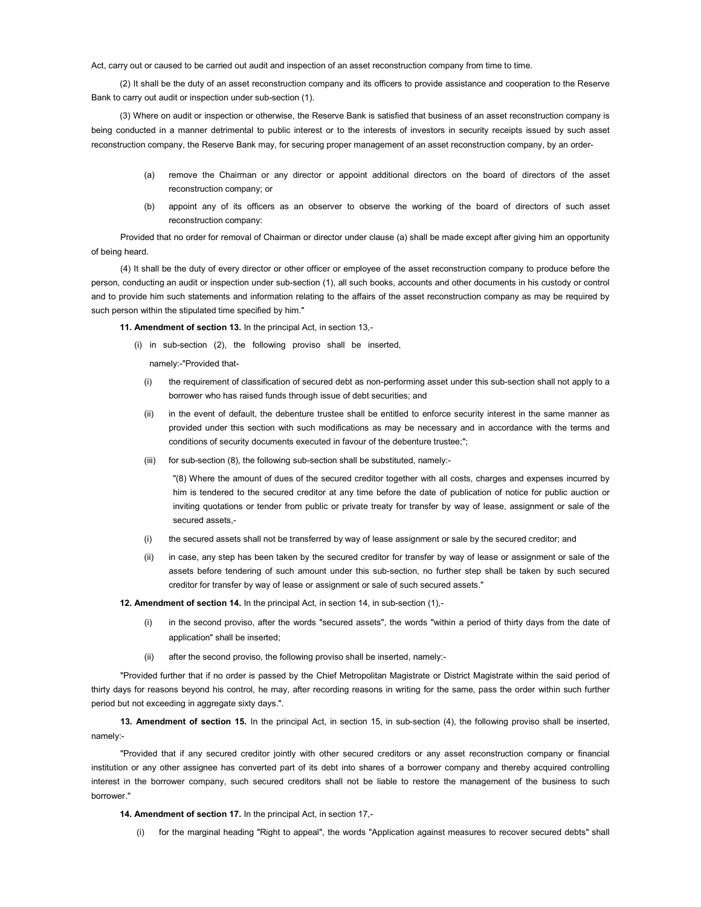Act, carry out or caused to be carried out audit and inspection of an asset reconstruction company from time to time.

(2) It shall be the duty of an asset reconstruction company and its officers to provide assistance and cooperation to the Reserve Bank to carry out audit or inspection under sub-section (1).

(3) Where on audit or inspection or otherwise, the Reserve Bank is satisfied that business of an asset reconstruction company is being conducted in a manner detrimental to public interest or to the interests of investors in security receipts issued by such asset reconstruction company, the Reserve Bank may, for securing proper management of an asset reconstruction company, by an order-

- (a) remove the Chairman or any director or appoint additional directors on the board of directors of the asset reconstruction company; or
- (b) appoint any of its officers as an observer to observe the working of the board of directors of such asset reconstruction company:

Provided that no order for removal of Chairman or director under clause (a) shall be made except after giving him an opportunity of being heard.

(4) It shall be the duty of every director or other officer or employee of the asset reconstruction company to produce before the person, conducting an audit or inspection under sub-section (1), all such books, accounts and other documents in his custody or control and to provide him such statements and information relating to the affairs of the asset reconstruction company as may be required by such person within the stipulated time specified by him."

11. Amendment of section 13. In the principal Act, in section 13,-

(i) in sub-section (2), the following proviso shall be inserted,

namely:-"Provided that-

- (i) the requirement of classification of secured debt as non-performing asset under this sub-section shall not apply to a borrower who has raised funds through issue of debt securities; and
- (ii) in the event of default, the debenture trustee shall be entitled to enforce security interest in the same manner as provided under this section with such modifications as may be necessary and in accordance with the terms and conditions of security documents executed in favour of the debenture trustee;";
- (iii) for sub-section (8), the following sub-section shall be substituted, namely:-

"(8) Where the amount of dues of the secured creditor together with all costs, charges and expenses incurred by him is tendered to the secured creditor at any time before the date of publication of notice for public auction or inviting quotations or tender from public or private treaty for transfer by way of lease, assignment or sale of the secured assets,-

- (i) the secured assets shall not be transferred by way of lease assignment or sale by the secured creditor; and
- (ii) in case, any step has been taken by the secured creditor for transfer by way of lease or assignment or sale of the assets before tendering of such amount under this sub-section, no further step shall be taken by such secured creditor for transfer by way of lease or assignment or sale of such secured assets."

12. Amendment of section 14. In the principal Act, in section 14, in sub-section (1),-

- in the second proviso, after the words "secured assets", the words "within a period of thirty days from the date of application" shall be inserted;
- (ii) after the second proviso, the following proviso shall be inserted, namely:-

"Provided further that if no order is passed by the Chief Metropolitan Magistrate or District Magistrate within the said period of thirty days for reasons beyond his control, he may, after recording reasons in writing for the same, pass the order within such further period but not exceeding in aggregate sixty days.".

13. Amendment of section 15. In the principal Act, in section 15, in sub-section (4), the following proviso shall be inserted, namely:-

"Provided that if any secured creditor jointly with other secured creditors or any asset reconstruction company or financial institution or any other assignee has converted part of its debt into shares of a borrower company and thereby acquired controlling interest in the borrower company, such secured creditors shall not be liable to restore the management of the business to such borrower."

14. Amendment of section 17. In the principal Act, in section 17,-

(i) for the marginal heading "Right to appeal", the words "Application against measures to recover secured debts" shall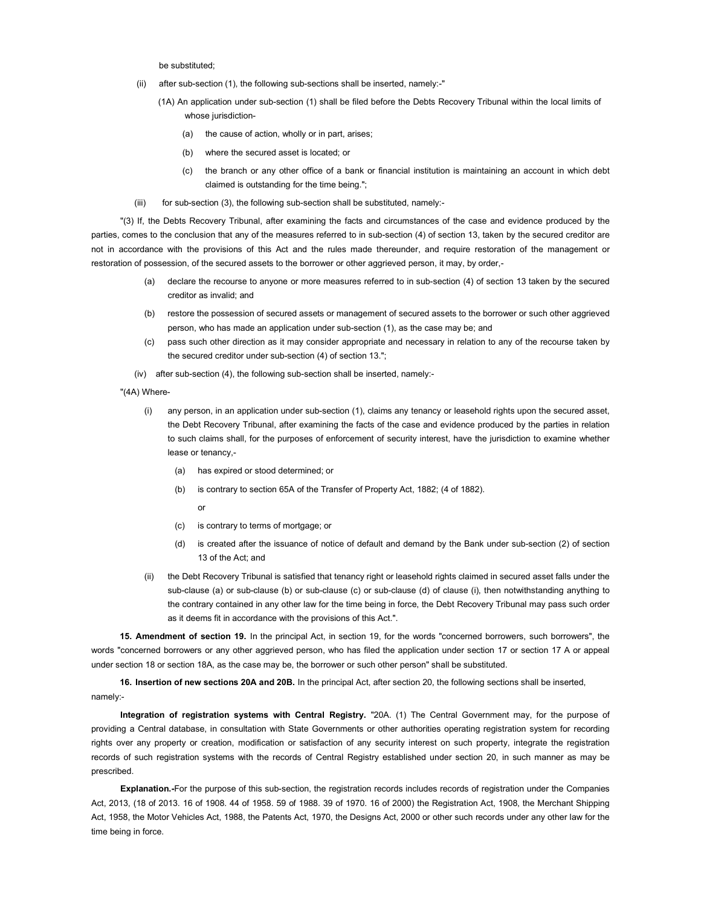be substituted;

- (ii) after sub-section (1), the following sub-sections shall be inserted, namely:-"
	- (1A) An application under sub-section (1) shall be filed before the Debts Recovery Tribunal within the local limits of whose jurisdiction-
		- (a) the cause of action, wholly or in part, arises;
		- (b) where the secured asset is located; or
		- (c) the branch or any other office of a bank or financial institution is maintaining an account in which debt claimed is outstanding for the time being.";
- (iii) for sub-section (3), the following sub-section shall be substituted, namely:-

"(3) If, the Debts Recovery Tribunal, after examining the facts and circumstances of the case and evidence produced by the parties, comes to the conclusion that any of the measures referred to in sub-section (4) of section 13, taken by the secured creditor are not in accordance with the provisions of this Act and the rules made thereunder, and require restoration of the management or restoration of possession, of the secured assets to the borrower or other aggrieved person, it may, by order,-

- (a) declare the recourse to anyone or more measures referred to in sub-section (4) of section 13 taken by the secured creditor as invalid; and
- (b) restore the possession of secured assets or management of secured assets to the borrower or such other aggrieved person, who has made an application under sub-section (1), as the case may be; and
- (c) pass such other direction as it may consider appropriate and necessary in relation to any of the recourse taken by the secured creditor under sub-section (4) of section 13.";
- (iv) after sub-section (4), the following sub-section shall be inserted, namely:-
- "(4A) Where-
	- (i) any person, in an application under sub-section (1), claims any tenancy or leasehold rights upon the secured asset, the Debt Recovery Tribunal, after examining the facts of the case and evidence produced by the parties in relation to such claims shall, for the purposes of enforcement of security interest, have the jurisdiction to examine whether lease or tenancy,-
		- (a) has expired or stood determined; or
		- (b) is contrary to section 65A of the Transfer of Property Act, 1882; (4 of 1882).
			- or
		- (c) is contrary to terms of mortgage; or
		- (d) is created after the issuance of notice of default and demand by the Bank under sub-section (2) of section 13 of the Act; and
	- (ii) the Debt Recovery Tribunal is satisfied that tenancy right or leasehold rights claimed in secured asset falls under the sub-clause (a) or sub-clause (b) or sub-clause (c) or sub-clause (d) of clause (i), then notwithstanding anything to the contrary contained in any other law for the time being in force, the Debt Recovery Tribunal may pass such order as it deems fit in accordance with the provisions of this Act.".

15. Amendment of section 19. In the principal Act, in section 19, for the words "concerned borrowers, such borrowers", the words "concerned borrowers or any other aggrieved person, who has filed the application under section 17 or section 17 A or appeal under section 18 or section 18A, as the case may be, the borrower or such other person" shall be substituted.

16. Insertion of new sections 20A and 20B. In the principal Act, after section 20, the following sections shall be inserted, namely:-

Integration of registration systems with Central Registry. "20A. (1) The Central Government may, for the purpose of providing a Central database, in consultation with State Governments or other authorities operating registration system for recording rights over any property or creation, modification or satisfaction of any security interest on such property, integrate the registration records of such registration systems with the records of Central Registry established under section 20, in such manner as may be prescribed.

Explanation.-For the purpose of this sub-section, the registration records includes records of registration under the Companies Act, 2013, (18 of 2013. 16 of 1908. 44 of 1958. 59 of 1988. 39 of 1970. 16 of 2000) the Registration Act, 1908, the Merchant Shipping Act, 1958, the Motor Vehicles Act, 1988, the Patents Act, 1970, the Designs Act, 2000 or other such records under any other law for the time being in force.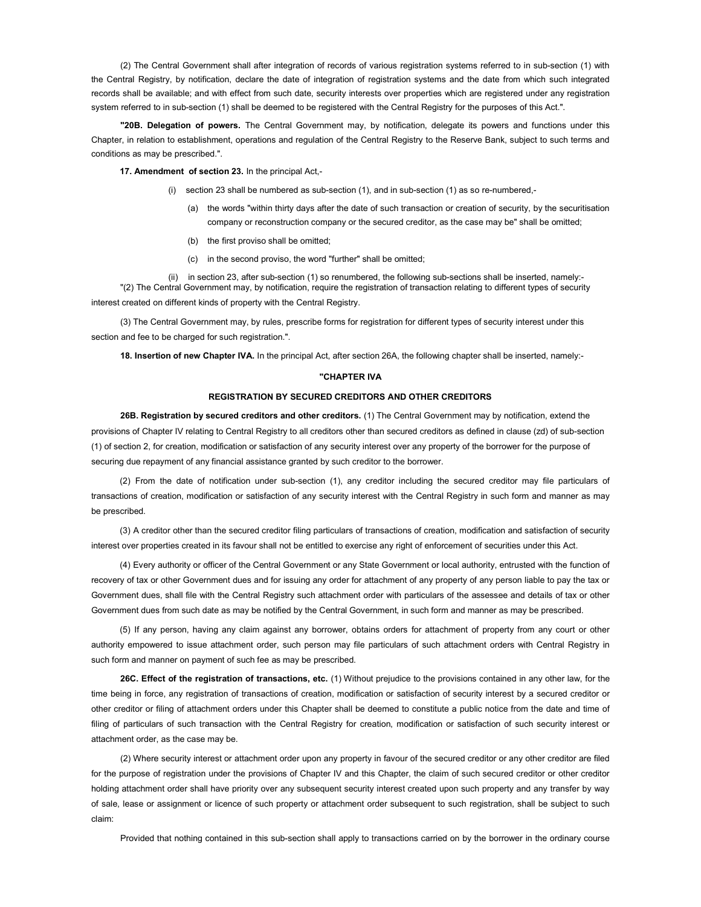(2) The Central Government shall after integration of records of various registration systems referred to in sub-section (1) with the Central Registry, by notification, declare the date of integration of registration systems and the date from which such integrated records shall be available; and with effect from such date, security interests over properties which are registered under any registration system referred to in sub-section (1) shall be deemed to be registered with the Central Registry for the purposes of this Act.".

"20B. Delegation of powers. The Central Government may, by notification, delegate its powers and functions under this Chapter, in relation to establishment, operations and regulation of the Central Registry to the Reserve Bank, subject to such terms and conditions as may be prescribed.".

17. Amendment of section 23. In the principal Act,-

- (i) section 23 shall be numbered as sub-section (1), and in sub-section (1) as so re-numbered,-
	- (a) the words "within thirty days after the date of such transaction or creation of security, by the securitisation company or reconstruction company or the secured creditor, as the case may be" shall be omitted;
	- (b) the first proviso shall be omitted;
	- (c) in the second proviso, the word "further" shall be omitted;

(ii) in section 23, after sub-section (1) so renumbered, the following sub-sections shall be inserted, namely:- "(2) The Central Government may, by notification, require the registration of transaction relating to different types of security interest created on different kinds of property with the Central Registry.

(3) The Central Government may, by rules, prescribe forms for registration for different types of security interest under this section and fee to be charged for such registration.".

18. Insertion of new Chapter IVA. In the principal Act, after section 26A, the following chapter shall be inserted, namely:-

### "CHAPTER IVA

# REGISTRATION BY SECURED CREDITORS AND OTHER CREDITORS

26B. Registration by secured creditors and other creditors. (1) The Central Government may by notification, extend the provisions of Chapter IV relating to Central Registry to all creditors other than secured creditors as defined in clause (zd) of sub-section (1) of section 2, for creation, modification or satisfaction of any security interest over any property of the borrower for the purpose of securing due repayment of any financial assistance granted by such creditor to the borrower.

(2) From the date of notification under sub-section (1), any creditor including the secured creditor may file particulars of transactions of creation, modification or satisfaction of any security interest with the Central Registry in such form and manner as may be prescribed.

(3) A creditor other than the secured creditor filing particulars of transactions of creation, modification and satisfaction of security interest over properties created in its favour shall not be entitled to exercise any right of enforcement of securities under this Act.

(4) Every authority or officer of the Central Government or any State Government or local authority, entrusted with the function of recovery of tax or other Government dues and for issuing any order for attachment of any property of any person liable to pay the tax or Government dues, shall file with the Central Registry such attachment order with particulars of the assessee and details of tax or other Government dues from such date as may be notified by the Central Government, in such form and manner as may be prescribed.

(5) If any person, having any claim against any borrower, obtains orders for attachment of property from any court or other authority empowered to issue attachment order, such person may file particulars of such attachment orders with Central Registry in such form and manner on payment of such fee as may be prescribed.

26C. Effect of the registration of transactions, etc. (1) Without prejudice to the provisions contained in any other law, for the time being in force, any registration of transactions of creation, modification or satisfaction of security interest by a secured creditor or other creditor or filing of attachment orders under this Chapter shall be deemed to constitute a public notice from the date and time of filing of particulars of such transaction with the Central Registry for creation, modification or satisfaction of such security interest or attachment order, as the case may be.

(2) Where security interest or attachment order upon any property in favour of the secured creditor or any other creditor are filed for the purpose of registration under the provisions of Chapter IV and this Chapter, the claim of such secured creditor or other creditor holding attachment order shall have priority over any subsequent security interest created upon such property and any transfer by way of sale, lease or assignment or licence of such property or attachment order subsequent to such registration, shall be subject to such claim:

Provided that nothing contained in this sub-section shall apply to transactions carried on by the borrower in the ordinary course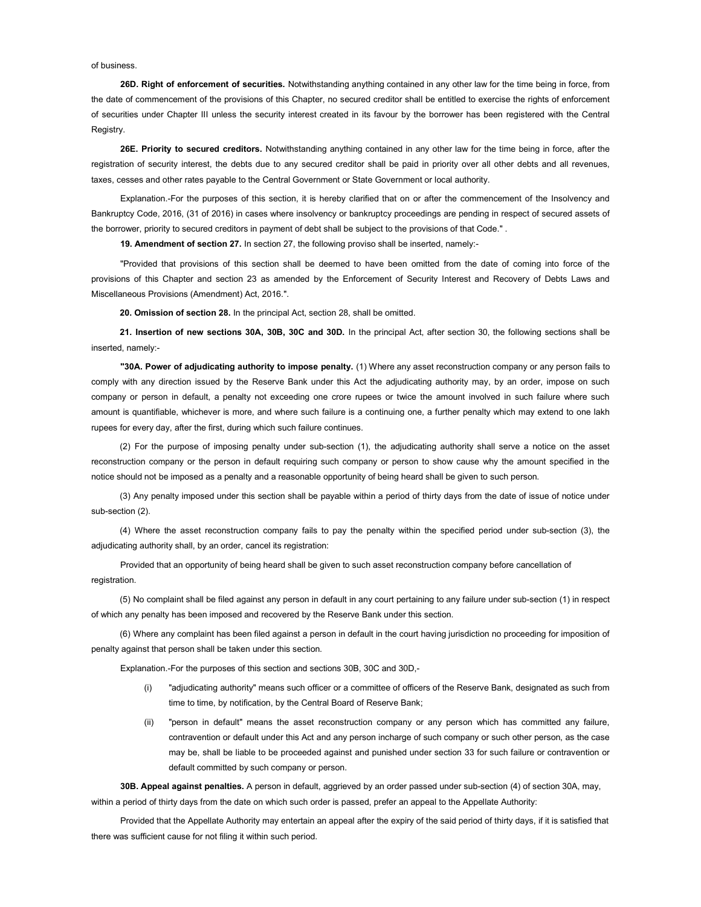of business.

26D. Right of enforcement of securities. Notwithstanding anything contained in any other law for the time being in force, from the date of commencement of the provisions of this Chapter, no secured creditor shall be entitled to exercise the rights of enforcement of securities under Chapter III unless the security interest created in its favour by the borrower has been registered with the Central Registry.

26E. Priority to secured creditors. Notwithstanding anything contained in any other law for the time being in force, after the registration of security interest, the debts due to any secured creditor shall be paid in priority over all other debts and all revenues, taxes, cesses and other rates payable to the Central Government or State Government or local authority.

Explanation.-For the purposes of this section, it is hereby clarified that on or after the commencement of the Insolvency and Bankruptcy Code, 2016, (31 of 2016) in cases where insolvency or bankruptcy proceedings are pending in respect of secured assets of the borrower, priority to secured creditors in payment of debt shall be subject to the provisions of that Code." .

19. Amendment of section 27. In section 27, the following proviso shall be inserted, namely:-

"Provided that provisions of this section shall be deemed to have been omitted from the date of coming into force of the provisions of this Chapter and section 23 as amended by the Enforcement of Security Interest and Recovery of Debts Laws and Miscellaneous Provisions (Amendment) Act, 2016.".

20. Omission of section 28. In the principal Act, section 28, shall be omitted.

21. Insertion of new sections 30A, 30B, 30C and 30D. In the principal Act, after section 30, the following sections shall be inserted, namely:-

"30A. Power of adjudicating authority to impose penalty. (1) Where any asset reconstruction company or any person fails to comply with any direction issued by the Reserve Bank under this Act the adjudicating authority may, by an order, impose on such company or person in default, a penalty not exceeding one crore rupees or twice the amount involved in such failure where such amount is quantifiable, whichever is more, and where such failure is a continuing one, a further penalty which may extend to one lakh rupees for every day, after the first, during which such failure continues.

(2) For the purpose of imposing penalty under sub-section (1), the adjudicating authority shall serve a notice on the asset reconstruction company or the person in default requiring such company or person to show cause why the amount specified in the notice should not be imposed as a penalty and a reasonable opportunity of being heard shall be given to such person.

(3) Any penalty imposed under this section shall be payable within a period of thirty days from the date of issue of notice under sub-section (2).

(4) Where the asset reconstruction company fails to pay the penalty within the specified period under sub-section (3), the adjudicating authority shall, by an order, cancel its registration:

Provided that an opportunity of being heard shall be given to such asset reconstruction company before cancellation of registration.

(5) No complaint shall be filed against any person in default in any court pertaining to any failure under sub-section (1) in respect of which any penalty has been imposed and recovered by the Reserve Bank under this section.

(6) Where any complaint has been filed against a person in default in the court having jurisdiction no proceeding for imposition of penalty against that person shall be taken under this section.

Explanation.-For the purposes of this section and sections 30B, 30C and 30D,-

- (i) "adjudicating authority" means such officer or a committee of officers of the Reserve Bank, designated as such from time to time, by notification, by the Central Board of Reserve Bank;
- (ii) "person in default" means the asset reconstruction company or any person which has committed any failure, contravention or default under this Act and any person incharge of such company or such other person, as the case may be, shall be liable to be proceeded against and punished under section 33 for such failure or contravention or default committed by such company or person.

30B. Appeal against penalties. A person in default, aggrieved by an order passed under sub-section (4) of section 30A, may, within a period of thirty days from the date on which such order is passed, prefer an appeal to the Appellate Authority:

Provided that the Appellate Authority may entertain an appeal after the expiry of the said period of thirty days, if it is satisfied that there was sufficient cause for not filing it within such period.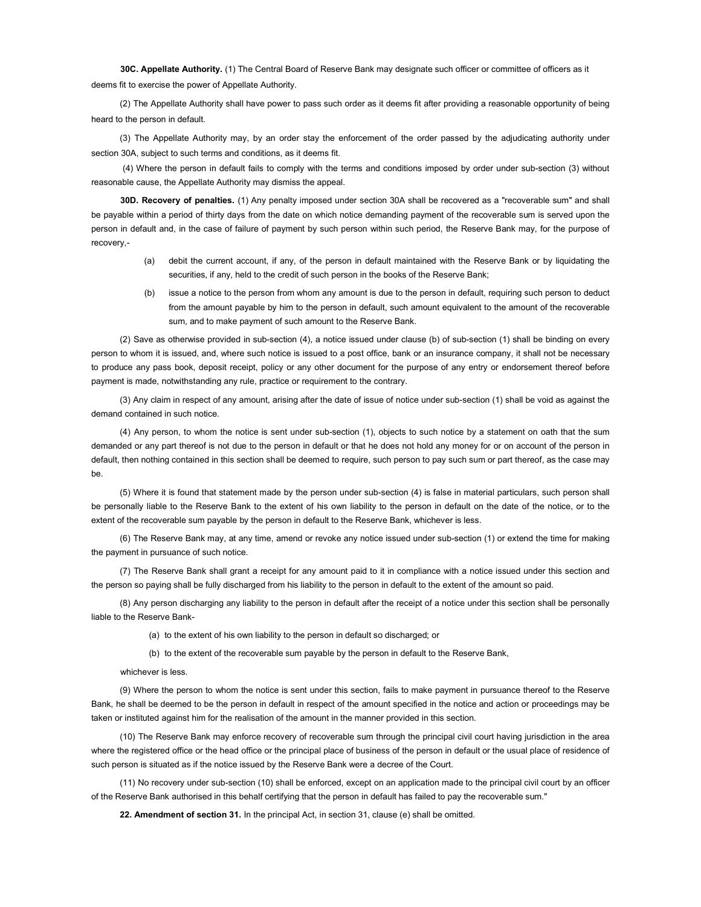30C. Appellate Authority. (1) The Central Board of Reserve Bank may designate such officer or committee of officers as it deems fit to exercise the power of Appellate Authority.

(2) The Appellate Authority shall have power to pass such order as it deems fit after providing a reasonable opportunity of being heard to the person in default.

(3) The Appellate Authority may, by an order stay the enforcement of the order passed by the adjudicating authority under section 30A, subject to such terms and conditions, as it deems fit.

 (4) Where the person in default fails to comply with the terms and conditions imposed by order under sub-section (3) without reasonable cause, the Appellate Authority may dismiss the appeal.

30D. Recovery of penalties. (1) Any penalty imposed under section 30A shall be recovered as a "recoverable sum" and shall be payable within a period of thirty days from the date on which notice demanding payment of the recoverable sum is served upon the person in default and, in the case of failure of payment by such person within such period, the Reserve Bank may, for the purpose of recovery,-

- (a) debit the current account, if any, of the person in default maintained with the Reserve Bank or by liquidating the securities, if any, held to the credit of such person in the books of the Reserve Bank;
- (b) issue a notice to the person from whom any amount is due to the person in default, requiring such person to deduct from the amount payable by him to the person in default, such amount equivalent to the amount of the recoverable sum, and to make payment of such amount to the Reserve Bank.

(2) Save as otherwise provided in sub-section (4), a notice issued under clause (b) of sub-section (1) shall be binding on every person to whom it is issued, and, where such notice is issued to a post office, bank or an insurance company, it shall not be necessary to produce any pass book, deposit receipt, policy or any other document for the purpose of any entry or endorsement thereof before payment is made, notwithstanding any rule, practice or requirement to the contrary.

(3) Any claim in respect of any amount, arising after the date of issue of notice under sub-section (1) shall be void as against the demand contained in such notice.

(4) Any person, to whom the notice is sent under sub-section (1), objects to such notice by a statement on oath that the sum demanded or any part thereof is not due to the person in default or that he does not hold any money for or on account of the person in default, then nothing contained in this section shall be deemed to require, such person to pay such sum or part thereof, as the case may be.

(5) Where it is found that statement made by the person under sub-section (4) is false in material particulars, such person shall be personally liable to the Reserve Bank to the extent of his own liability to the person in default on the date of the notice, or to the extent of the recoverable sum payable by the person in default to the Reserve Bank, whichever is less.

(6) The Reserve Bank may, at any time, amend or revoke any notice issued under sub-section (1) or extend the time for making the payment in pursuance of such notice.

(7) The Reserve Bank shall grant a receipt for any amount paid to it in compliance with a notice issued under this section and the person so paying shall be fully discharged from his liability to the person in default to the extent of the amount so paid.

(8) Any person discharging any liability to the person in default after the receipt of a notice under this section shall be personally liable to the Reserve Bank-

(a) to the extent of his own liability to the person in default so discharged; or

(b) to the extent of the recoverable sum payable by the person in default to the Reserve Bank,

whichever is less.

(9) Where the person to whom the notice is sent under this section, fails to make payment in pursuance thereof to the Reserve Bank, he shall be deemed to be the person in default in respect of the amount specified in the notice and action or proceedings may be taken or instituted against him for the realisation of the amount in the manner provided in this section.

(10) The Reserve Bank may enforce recovery of recoverable sum through the principal civil court having jurisdiction in the area where the registered office or the head office or the principal place of business of the person in default or the usual place of residence of such person is situated as if the notice issued by the Reserve Bank were a decree of the Court.

(11) No recovery under sub-section (10) shall be enforced, except on an application made to the principal civil court by an officer of the Reserve Bank authorised in this behalf certifying that the person in default has failed to pay the recoverable sum."

22. Amendment of section 31. In the principal Act, in section 31, clause (e) shall be omitted.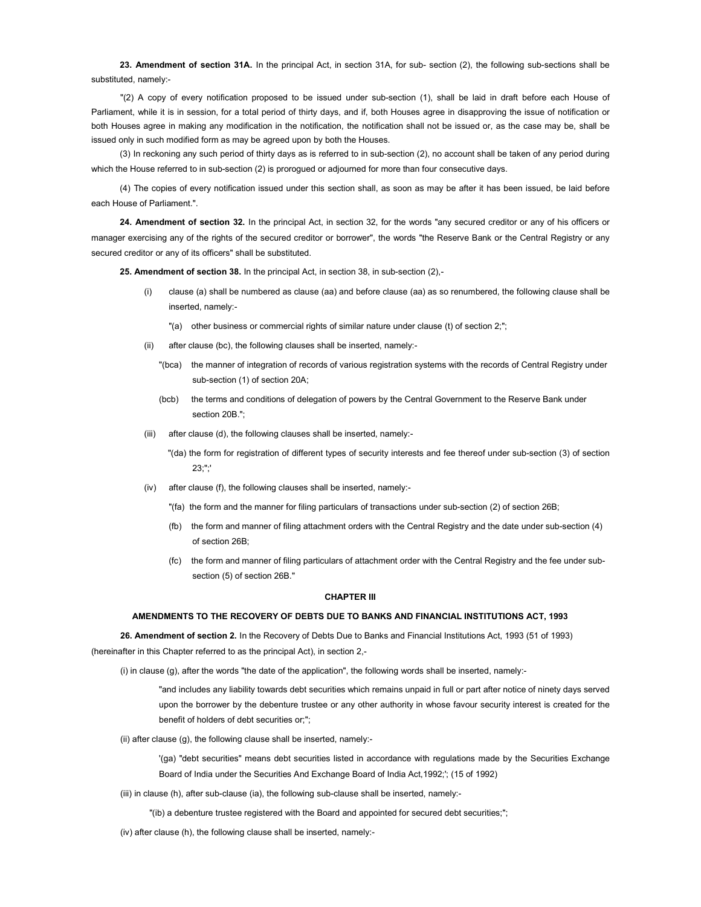23. Amendment of section 31A. In the principal Act, in section 31A, for sub- section (2), the following sub-sections shall be substituted, namely:-

"(2) A copy of every notification proposed to be issued under sub-section (1), shall be laid in draft before each House of Parliament, while it is in session, for a total period of thirty days, and if, both Houses agree in disapproving the issue of notification or both Houses agree in making any modification in the notification, the notification shall not be issued or, as the case may be, shall be issued only in such modified form as may be agreed upon by both the Houses.

(3) In reckoning any such period of thirty days as is referred to in sub-section (2), no account shall be taken of any period during which the House referred to in sub-section (2) is prorogued or adjourned for more than four consecutive days.

(4) The copies of every notification issued under this section shall, as soon as may be after it has been issued, be laid before each House of Parliament.".

24. Amendment of section 32. In the principal Act, in section 32, for the words "any secured creditor or any of his officers or manager exercising any of the rights of the secured creditor or borrower", the words "the Reserve Bank or the Central Registry or any secured creditor or any of its officers" shall be substituted.

25. Amendment of section 38. In the principal Act, in section 38, in sub-section (2),-

- (i) clause (a) shall be numbered as clause (aa) and before clause (aa) as so renumbered, the following clause shall be inserted, namely:-
	- "(a) other business or commercial rights of similar nature under clause (t) of section 2;";
- (ii) after clause (bc), the following clauses shall be inserted, namely:-
	- "(bca) the manner of integration of records of various registration systems with the records of Central Registry under sub-section (1) of section 20A;
	- (bcb) the terms and conditions of delegation of powers by the Central Government to the Reserve Bank under section 20<sub>B</sub> "
- (iii) after clause (d), the following clauses shall be inserted, namely:-
	- "(da) the form for registration of different types of security interests and fee thereof under sub-section (3) of section 23;";'
- (iv) after clause (f), the following clauses shall be inserted, namely:-
	- "(fa) the form and the manner for filing particulars of transactions under sub-section (2) of section 26B;
	- (fb) the form and manner of filing attachment orders with the Central Registry and the date under sub-section (4) of section 26B;
	- (fc) the form and manner of filing particulars of attachment order with the Central Registry and the fee under subsection (5) of section 26B."

#### CHAPTER III

#### AMENDMENTS TO THE RECOVERY OF DEBTS DUE TO BANKS AND FINANCIAL INSTITUTIONS ACT, 1993

26. Amendment of section 2. In the Recovery of Debts Due to Banks and Financial Institutions Act, 1993 (51 of 1993) (hereinafter in this Chapter referred to as the principal Act), in section 2,-

(i) in clause (g), after the words "the date of the application", the following words shall be inserted, namely:-

"and includes any liability towards debt securities which remains unpaid in full or part after notice of ninety days served upon the borrower by the debenture trustee or any other authority in whose favour security interest is created for the benefit of holders of debt securities or;";

(ii) after clause (g), the following clause shall be inserted, namely:-

'(ga) "debt securities" means debt securities listed in accordance with regulations made by the Securities Exchange Board of India under the Securities And Exchange Board of India Act,1992;'; (15 of 1992)

- (iii) in clause (h), after sub-clause (ia), the following sub-clause shall be inserted, namely:-
	- "(ib) a debenture trustee registered with the Board and appointed for secured debt securities;";

(iv) after clause (h), the following clause shall be inserted, namely:-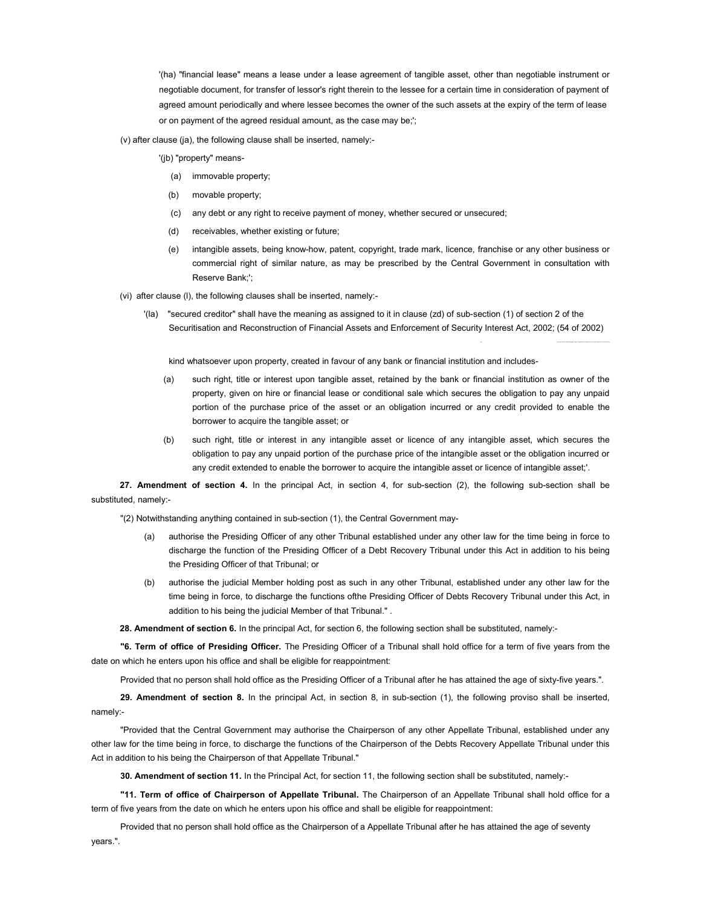'(ha) "financial lease" means a lease under a lease agreement of tangible asset, other than negotiable instrument or negotiable document, for transfer of lessor's right therein to the lessee for a certain time in consideration of payment of agreed amount periodically and where lessee becomes the owner of the such assets at the expiry of the term of lease or on payment of the agreed residual amount, as the case may be;';

(v) after clause (ja), the following clause shall be inserted, namely:-

'(jb) "property" means-

- (a) immovable property;
- (b) movable property;
- (c) any debt or any right to receive payment of money, whether secured or unsecured;
- (d) receivables, whether existing or future;
- (e) intangible assets, being know-how, patent, copyright, trade mark, licence, franchise or any other business or commercial right of similar nature, as may be prescribed by the Central Government in consultation with Reserve Bank;';
- (vi) after clause (l), the following clauses shall be inserted, namely:-
	- '(la) "secured creditor" shall have the meaning as assigned to it in clause (zd) of sub-section (1) of section 2 of the Securitisation and Reconstruction of Financial Assets and Enforcement of Security Interest Act, 2002; (54 of 2002)

kind whatsoever upon property, created in favour of any bank or financial institution and includes-

- (a) such right, title or interest upon tangible asset, retained by the bank or financial institution as owner of the property, given on hire or financial lease or conditional sale which secures the obligation to pay any unpaid portion of the purchase price of the asset or an obligation incurred or any credit provided to enable the borrower to acquire the tangible asset; or
- (b) such right, title or interest in any intangible asset or licence of any intangible asset, which secures the obligation to pay any unpaid portion of the purchase price of the intangible asset or the obligation incurred or any credit extended to enable the borrower to acquire the intangible asset or licence of intangible asset;'.

27. Amendment of section 4. In the principal Act, in section 4, for sub-section (2), the following sub-section shall be substituted, namely:-

"(2) Notwithstanding anything contained in sub-section (1), the Central Government may-

- (a) authorise the Presiding Officer of any other Tribunal established under any other law for the time being in force to discharge the function of the Presiding Officer of a Debt Recovery Tribunal under this Act in addition to his being the Presiding Officer of that Tribunal; or
- (b) authorise the judicial Member holding post as such in any other Tribunal, established under any other law for the time being in force, to discharge the functions ofthe Presiding Officer of Debts Recovery Tribunal under this Act, in addition to his being the judicial Member of that Tribunal." .

28. Amendment of section 6. In the principal Act, for section 6, the following section shall be substituted, namely:-

"6. Term of office of Presiding Officer. The Presiding Officer of a Tribunal shall hold office for a term of five years from the date on which he enters upon his office and shall be eligible for reappointment:

Provided that no person shall hold office as the Presiding Officer of a Tribunal after he has attained the age of sixty-five years.".

29. Amendment of section 8. In the principal Act, in section 8, in sub-section (1), the following proviso shall be inserted, namely:-

"Provided that the Central Government may authorise the Chairperson of any other Appellate Tribunal, established under any other law for the time being in force, to discharge the functions of the Chairperson of the Debts Recovery Appellate Tribunal under this Act in addition to his being the Chairperson of that Appellate Tribunal."

30. Amendment of section 11. In the Principal Act, for section 11, the following section shall be substituted, namely:-

"11. Term of office of Chairperson of Appellate Tribunal. The Chairperson of an Appellate Tribunal shall hold office for a term of five years from the date on which he enters upon his office and shall be eligible for reappointment:

Provided that no person shall hold office as the Chairperson of a Appellate Tribunal after he has attained the age of seventy years.".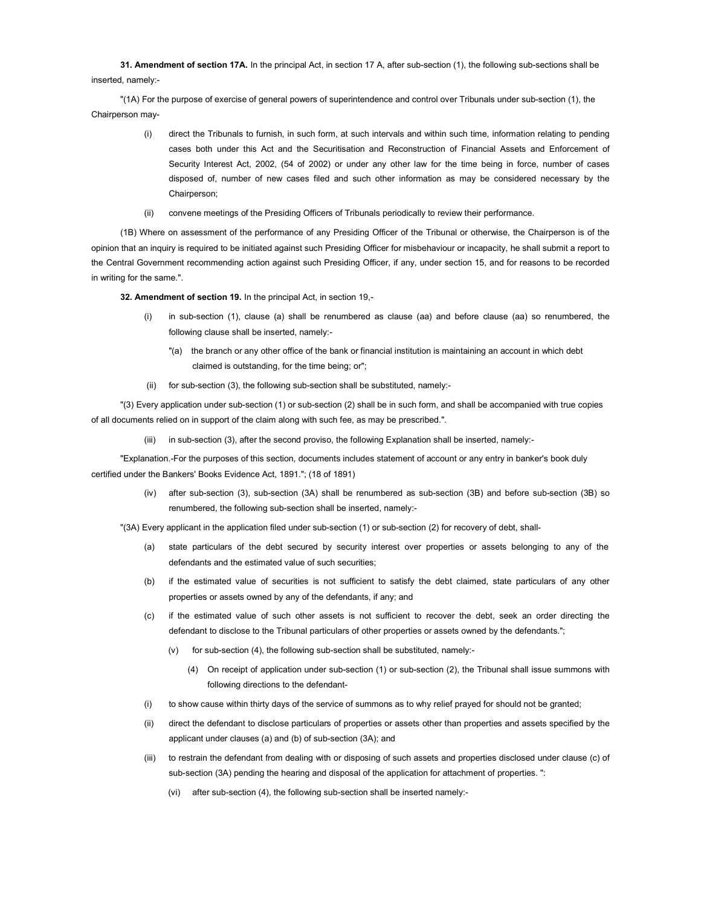31. Amendment of section 17A. In the principal Act, in section 17 A, after sub-section (1), the following sub-sections shall be inserted, namely:-

"(1A) For the purpose of exercise of general powers of superintendence and control over Tribunals under sub-section (1), the Chairperson may-

- (i) direct the Tribunals to furnish, in such form, at such intervals and within such time, information relating to pending cases both under this Act and the Securitisation and Reconstruction of Financial Assets and Enforcement of Security Interest Act, 2002, (54 of 2002) or under any other law for the time being in force, number of cases disposed of, number of new cases filed and such other information as may be considered necessary by the Chairperson;
- (ii) convene meetings of the Presiding Officers of Tribunals periodically to review their performance.

(1B) Where on assessment of the performance of any Presiding Officer of the Tribunal or otherwise, the Chairperson is of the opinion that an inquiry is required to be initiated against such Presiding Officer for misbehaviour or incapacity, he shall submit a report to the Central Government recommending action against such Presiding Officer, if any, under section 15, and for reasons to be recorded in writing for the same.".

32. Amendment of section 19. In the principal Act, in section 19,-

- (i) in sub-section (1), clause (a) shall be renumbered as clause (aa) and before clause (aa) so renumbered, the following clause shall be inserted, namely:-
	- "(a) the branch or any other office of the bank or financial institution is maintaining an account in which debt claimed is outstanding, for the time being; or";
- (ii) for sub-section (3), the following sub-section shall be substituted, namely:-

"(3) Every application under sub-section (1) or sub-section (2) shall be in such form, and shall be accompanied with true copies of all documents relied on in support of the claim along with such fee, as may be prescribed.".

(iii) in sub-section (3), after the second proviso, the following Explanation shall be inserted, namely:-

"Explanation.-For the purposes of this section, documents includes statement of account or any entry in banker's book duly certified under the Bankers' Books Evidence Act, 1891."; (18 of 1891)

> (iv) after sub-section (3), sub-section (3A) shall be renumbered as sub-section (3B) and before sub-section (3B) so renumbered, the following sub-section shall be inserted, namely:-

"(3A) Every applicant in the application filed under sub-section (1) or sub-section (2) for recovery of debt, shall-

- (a) state particulars of the debt secured by security interest over properties or assets belonging to any of the defendants and the estimated value of such securities;
- (b) if the estimated value of securities is not sufficient to satisfy the debt claimed, state particulars of any other properties or assets owned by any of the defendants, if any; and
- (c) if the estimated value of such other assets is not sufficient to recover the debt, seek an order directing the defendant to disclose to the Tribunal particulars of other properties or assets owned by the defendants.";
	- (v) for sub-section (4), the following sub-section shall be substituted, namely:-
		- (4) On receipt of application under sub-section (1) or sub-section (2), the Tribunal shall issue summons with following directions to the defendant-
- (i) to show cause within thirty days of the service of summons as to why relief prayed for should not be granted;
- (ii) direct the defendant to disclose particulars of properties or assets other than properties and assets specified by the applicant under clauses (a) and (b) of sub-section (3A); and
- (iii) to restrain the defendant from dealing with or disposing of such assets and properties disclosed under clause (c) of sub-section (3A) pending the hearing and disposal of the application for attachment of properties. ":
	- (vi) after sub-section (4), the following sub-section shall be inserted namely:-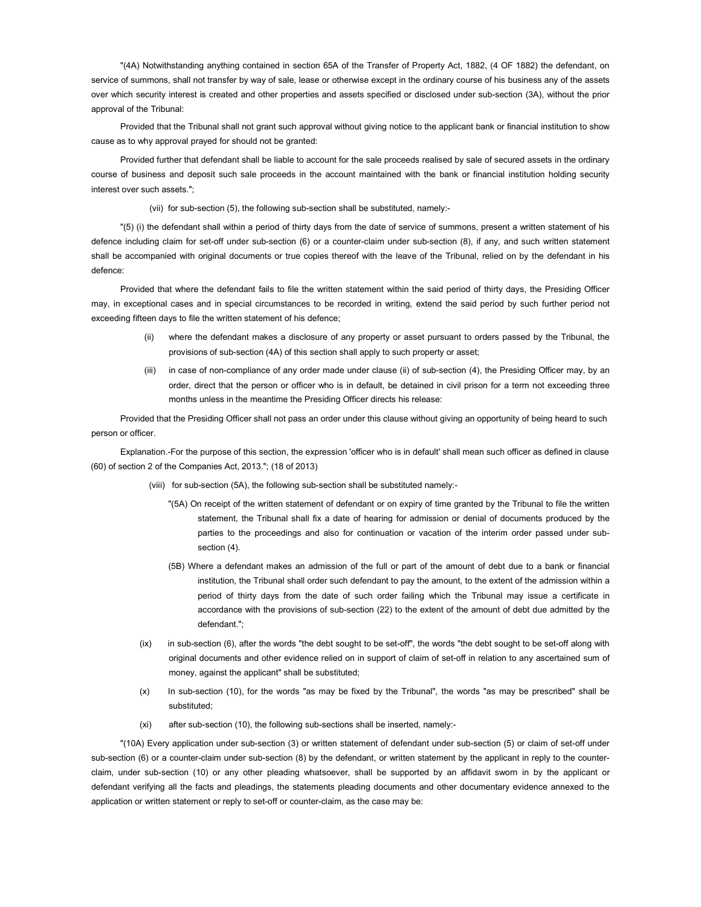"(4A) Notwithstanding anything contained in section 65A of the Transfer of Property Act, 1882, (4 OF 1882) the defendant, on service of summons, shall not transfer by way of sale, lease or otherwise except in the ordinary course of his business any of the assets over which security interest is created and other properties and assets specified or disclosed under sub-section (3A), without the prior approval of the Tribunal:

Provided that the Tribunal shall not grant such approval without giving notice to the applicant bank or financial institution to show cause as to why approval prayed for should not be granted:

Provided further that defendant shall be liable to account for the sale proceeds realised by sale of secured assets in the ordinary course of business and deposit such sale proceeds in the account maintained with the bank or financial institution holding security interest over such assets.";

(vii) for sub-section (5), the following sub-section shall be substituted, namely:-

"(5) (i) the defendant shall within a period of thirty days from the date of service of summons, present a written statement of his defence including claim for set-off under sub-section (6) or a counter-claim under sub-section (8), if any, and such written statement shall be accompanied with original documents or true copies thereof with the leave of the Tribunal, relied on by the defendant in his defence:

Provided that where the defendant fails to file the written statement within the said period of thirty days, the Presiding Officer may, in exceptional cases and in special circumstances to be recorded in writing, extend the said period by such further period not exceeding fifteen days to file the written statement of his defence;

- (ii) where the defendant makes a disclosure of any property or asset pursuant to orders passed by the Tribunal, the provisions of sub-section (4A) of this section shall apply to such property or asset;
- (iii) in case of non-compliance of any order made under clause (ii) of sub-section (4), the Presiding Officer may, by an order, direct that the person or officer who is in default, be detained in civil prison for a term not exceeding three months unless in the meantime the Presiding Officer directs his release:

Provided that the Presiding Officer shall not pass an order under this clause without giving an opportunity of being heard to such person or officer.

Explanation.-For the purpose of this section, the expression 'officer who is in default' shall mean such officer as defined in clause (60) of section 2 of the Companies Act, 2013."; (18 of 2013)

- (viii) for sub-section (5A), the following sub-section shall be substituted namely:-
	- "(5A) On receipt of the written statement of defendant or on expiry of time granted by the Tribunal to file the written statement, the Tribunal shall fix a date of hearing for admission or denial of documents produced by the parties to the proceedings and also for continuation or vacation of the interim order passed under subsection (4).
	- (5B) Where a defendant makes an admission of the full or part of the amount of debt due to a bank or financial institution, the Tribunal shall order such defendant to pay the amount, to the extent of the admission within a period of thirty days from the date of such order failing which the Tribunal may issue a certificate in accordance with the provisions of sub-section (22) to the extent of the amount of debt due admitted by the defendant.";
- (ix) in sub-section (6), after the words "the debt sought to be set-off", the words "the debt sought to be set-off along with original documents and other evidence relied on in support of claim of set-off in relation to any ascertained sum of money, against the applicant" shall be substituted;
- (x) In sub-section (10), for the words "as may be fixed by the Tribunal", the words "as may be prescribed" shall be substituted;
- (xi) after sub-section (10), the following sub-sections shall be inserted, namely:-

"(10A) Every application under sub-section (3) or written statement of defendant under sub-section (5) or claim of set-off under sub-section (6) or a counter-claim under sub-section (8) by the defendant, or written statement by the applicant in reply to the counterclaim, under sub-section (10) or any other pleading whatsoever, shall be supported by an affidavit sworn in by the applicant or defendant verifying all the facts and pleadings, the statements pleading documents and other documentary evidence annexed to the application or written statement or reply to set-off or counter-claim, as the case may be: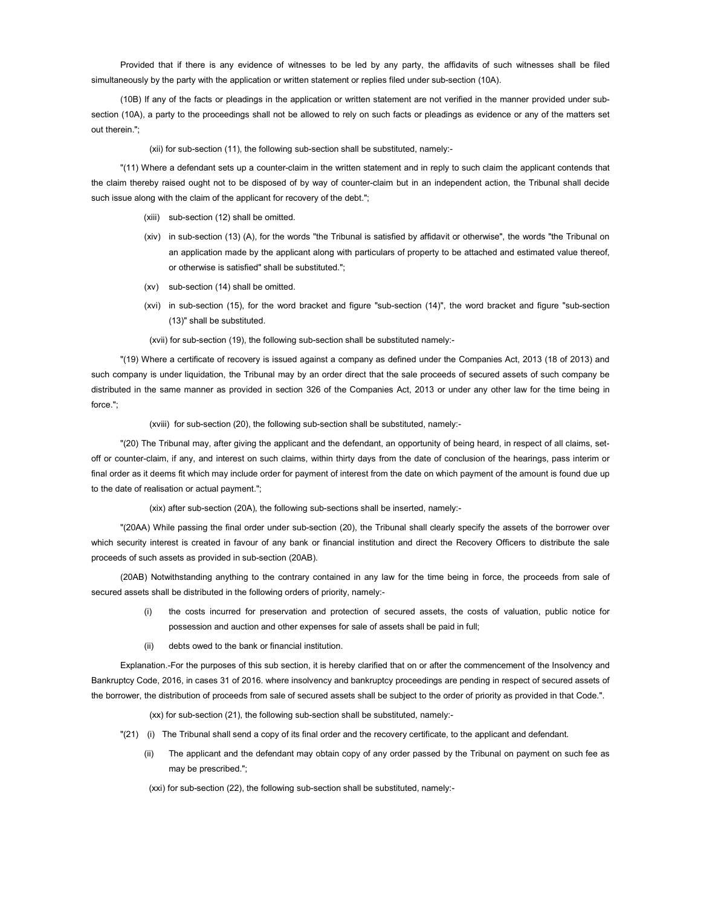Provided that if there is any evidence of witnesses to be led by any party, the affidavits of such witnesses shall be filed simultaneously by the party with the application or written statement or replies filed under sub-section (10A).

(10B) If any of the facts or pleadings in the application or written statement are not verified in the manner provided under subsection (10A), a party to the proceedings shall not be allowed to rely on such facts or pleadings as evidence or any of the matters set out therein.";

(xii) for sub-section (11), the following sub-section shall be substituted, namely:-

"(11) Where a defendant sets up a counter-claim in the written statement and in reply to such claim the applicant contends that the claim thereby raised ought not to be disposed of by way of counter-claim but in an independent action, the Tribunal shall decide such issue along with the claim of the applicant for recovery of the debt.";

- (xiii) sub-section (12) shall be omitted.
- (xiv) in sub-section (13) (A), for the words "the Tribunal is satisfied by affidavit or otherwise", the words "the Tribunal on an application made by the applicant along with particulars of property to be attached and estimated value thereof, or otherwise is satisfied" shall be substituted.";
- (xv) sub-section (14) shall be omitted.
- (xvi) in sub-section (15), for the word bracket and figure "sub-section (14)", the word bracket and figure "sub-section (13)" shall be substituted.

(xvii) for sub-section (19), the following sub-section shall be substituted namely:-

"(19) Where a certificate of recovery is issued against a company as defined under the Companies Act, 2013 (18 of 2013) and such company is under liquidation, the Tribunal may by an order direct that the sale proceeds of secured assets of such company be distributed in the same manner as provided in section 326 of the Companies Act, 2013 or under any other law for the time being in force.";

(xviii) for sub-section (20), the following sub-section shall be substituted, namely:-

"(20) The Tribunal may, after giving the applicant and the defendant, an opportunity of being heard, in respect of all claims, setoff or counter-claim, if any, and interest on such claims, within thirty days from the date of conclusion of the hearings, pass interim or final order as it deems fit which may include order for payment of interest from the date on which payment of the amount is found due up to the date of realisation or actual payment.";

(xix) after sub-section (20A), the following sub-sections shall be inserted, namely:-

"(20AA) While passing the final order under sub-section (20), the Tribunal shall clearly specify the assets of the borrower over which security interest is created in favour of any bank or financial institution and direct the Recovery Officers to distribute the sale proceeds of such assets as provided in sub-section (20AB).

(20AB) Notwithstanding anything to the contrary contained in any law for the time being in force, the proceeds from sale of secured assets shall be distributed in the following orders of priority, namely:-

- (i) the costs incurred for preservation and protection of secured assets, the costs of valuation, public notice for possession and auction and other expenses for sale of assets shall be paid in full;
- (ii) debts owed to the bank or financial institution.

Explanation.-For the purposes of this sub section, it is hereby clarified that on or after the commencement of the Insolvency and Bankruptcy Code, 2016, in cases 31 of 2016. where insolvency and bankruptcy proceedings are pending in respect of secured assets of the borrower, the distribution of proceeds from sale of secured assets shall be subject to the order of priority as provided in that Code.".

(xx) for sub-section (21), the following sub-section shall be substituted, namely:-

- "(21) (i) The Tribunal shall send a copy of its final order and the recovery certificate, to the applicant and defendant.
	- (ii) The applicant and the defendant may obtain copy of any order passed by the Tribunal on payment on such fee as may be prescribed.";
	- (xxi) for sub-section (22), the following sub-section shall be substituted, namely:-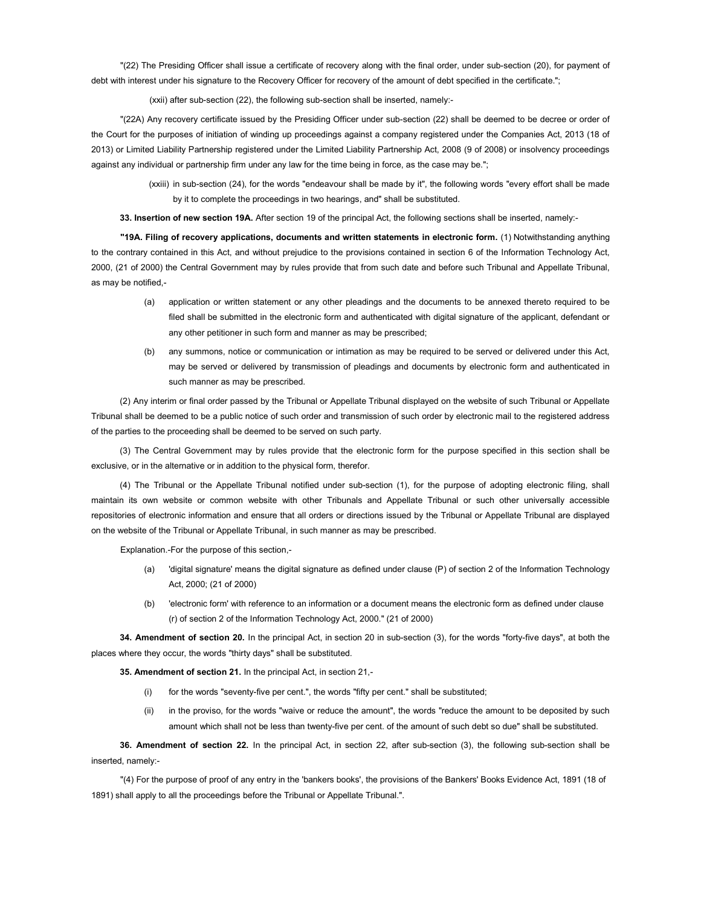"(22) The Presiding Officer shall issue a certificate of recovery along with the final order, under sub-section (20), for payment of debt with interest under his signature to the Recovery Officer for recovery of the amount of debt specified in the certificate.";

(xxii) after sub-section (22), the following sub-section shall be inserted, namely:-

"(22A) Any recovery certificate issued by the Presiding Officer under sub-section (22) shall be deemed to be decree or order of the Court for the purposes of initiation of winding up proceedings against a company registered under the Companies Act, 2013 (18 of 2013) or Limited Liability Partnership registered under the Limited Liability Partnership Act, 2008 (9 of 2008) or insolvency proceedings against any individual or partnership firm under any law for the time being in force, as the case may be.";

> (xxiii) in sub-section (24), for the words "endeavour shall be made by it", the following words "every effort shall be made by it to complete the proceedings in two hearings, and" shall be substituted.

33. Insertion of new section 19A. After section 19 of the principal Act, the following sections shall be inserted, namely:-

"19A. Filing of recovery applications, documents and written statements in electronic form. (1) Notwithstanding anything to the contrary contained in this Act, and without prejudice to the provisions contained in section 6 of the Information Technology Act, 2000, (21 of 2000) the Central Government may by rules provide that from such date and before such Tribunal and Appellate Tribunal, as may be notified,-

- (a) application or written statement or any other pleadings and the documents to be annexed thereto required to be filed shall be submitted in the electronic form and authenticated with digital signature of the applicant, defendant or any other petitioner in such form and manner as may be prescribed;
- (b) any summons, notice or communication or intimation as may be required to be served or delivered under this Act, may be served or delivered by transmission of pleadings and documents by electronic form and authenticated in such manner as may be prescribed.

(2) Any interim or final order passed by the Tribunal or Appellate Tribunal displayed on the website of such Tribunal or Appellate Tribunal shall be deemed to be a public notice of such order and transmission of such order by electronic mail to the registered address of the parties to the proceeding shall be deemed to be served on such party.

(3) The Central Government may by rules provide that the electronic form for the purpose specified in this section shall be exclusive, or in the alternative or in addition to the physical form, therefor.

(4) The Tribunal or the Appellate Tribunal notified under sub-section (1), for the purpose of adopting electronic filing, shall maintain its own website or common website with other Tribunals and Appellate Tribunal or such other universally accessible repositories of electronic information and ensure that all orders or directions issued by the Tribunal or Appellate Tribunal are displayed on the website of the Tribunal or Appellate Tribunal, in such manner as may be prescribed.

Explanation.-For the purpose of this section,-

- (a) 'digital signature' means the digital signature as defined under clause (P) of section 2 of the Information Technology Act, 2000; (21 of 2000)
- (b) 'electronic form' with reference to an information or a document means the electronic form as defined under clause (r) of section 2 of the Information Technology Act, 2000." (21 of 2000)

34. Amendment of section 20. In the principal Act, in section 20 in sub-section (3), for the words "forty-five days", at both the places where they occur, the words "thirty days" shall be substituted.

35. Amendment of section 21. In the principal Act, in section 21,-

- (i) for the words "seventy-five per cent.", the words "fifty per cent." shall be substituted;
- (ii) in the proviso, for the words "waive or reduce the amount", the words "reduce the amount to be deposited by such amount which shall not be less than twenty-five per cent. of the amount of such debt so due" shall be substituted.

36. Amendment of section 22. In the principal Act, in section 22, after sub-section (3), the following sub-section shall be inserted, namely:-

"(4) For the purpose of proof of any entry in the 'bankers books', the provisions of the Bankers' Books Evidence Act, 1891 (18 of 1891) shall apply to all the proceedings before the Tribunal or Appellate Tribunal.".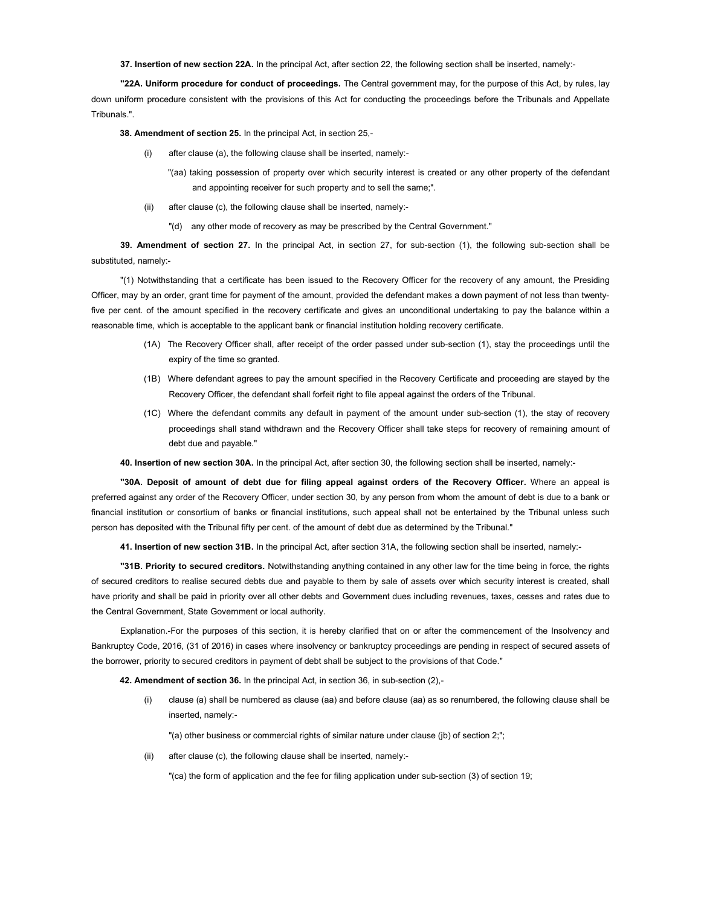37. Insertion of new section 22A. In the principal Act, after section 22, the following section shall be inserted, namely:-

"22A. Uniform procedure for conduct of proceedings. The Central government may, for the purpose of this Act, by rules, lay down uniform procedure consistent with the provisions of this Act for conducting the proceedings before the Tribunals and Appellate Tribunals.".

38. Amendment of section 25. In the principal Act, in section 25,-

- (i) after clause (a), the following clause shall be inserted, namely:-
	- "(aa) taking possession of property over which security interest is created or any other property of the defendant and appointing receiver for such property and to sell the same;".
- (ii) after clause (c), the following clause shall be inserted, namely:-
	- "(d) any other mode of recovery as may be prescribed by the Central Government."

39. Amendment of section 27. In the principal Act, in section 27, for sub-section (1), the following sub-section shall be substituted, namely:-

"(1) Notwithstanding that a certificate has been issued to the Recovery Officer for the recovery of any amount, the Presiding Officer, may by an order, grant time for payment of the amount, provided the defendant makes a down payment of not less than twentyfive per cent. of the amount specified in the recovery certificate and gives an unconditional undertaking to pay the balance within a reasonable time, which is acceptable to the applicant bank or financial institution holding recovery certificate.

- (1A) The Recovery Officer shall, after receipt of the order passed under sub-section (1), stay the proceedings until the expiry of the time so granted.
- (1B) Where defendant agrees to pay the amount specified in the Recovery Certificate and proceeding are stayed by the Recovery Officer, the defendant shall forfeit right to file appeal against the orders of the Tribunal.
- (1C) Where the defendant commits any default in payment of the amount under sub-section (1), the stay of recovery proceedings shall stand withdrawn and the Recovery Officer shall take steps for recovery of remaining amount of debt due and payable."

40. Insertion of new section 30A. In the principal Act, after section 30, the following section shall be inserted, namely:-

"30A. Deposit of amount of debt due for filing appeal against orders of the Recovery Officer. Where an appeal is preferred against any order of the Recovery Officer, under section 30, by any person from whom the amount of debt is due to a bank or financial institution or consortium of banks or financial institutions, such appeal shall not be entertained by the Tribunal unless such person has deposited with the Tribunal fifty per cent. of the amount of debt due as determined by the Tribunal."

41. Insertion of new section 31B. In the principal Act, after section 31A, the following section shall be inserted, namely:-

"31B. Priority to secured creditors. Notwithstanding anything contained in any other law for the time being in force, the rights of secured creditors to realise secured debts due and payable to them by sale of assets over which security interest is created, shall have priority and shall be paid in priority over all other debts and Government dues including revenues, taxes, cesses and rates due to the Central Government, State Government or local authority.

Explanation.-For the purposes of this section, it is hereby clarified that on or after the commencement of the Insolvency and Bankruptcy Code, 2016, (31 of 2016) in cases where insolvency or bankruptcy proceedings are pending in respect of secured assets of the borrower, priority to secured creditors in payment of debt shall be subject to the provisions of that Code."

42. Amendment of section 36. In the principal Act, in section 36, in sub-section (2),-

(i) clause (a) shall be numbered as clause (aa) and before clause (aa) as so renumbered, the following clause shall be inserted, namely:-

"(a) other business or commercial rights of similar nature under clause (jb) of section 2;";

(ii) after clause (c), the following clause shall be inserted, namely:-

"(ca) the form of application and the fee for filing application under sub-section (3) of section 19;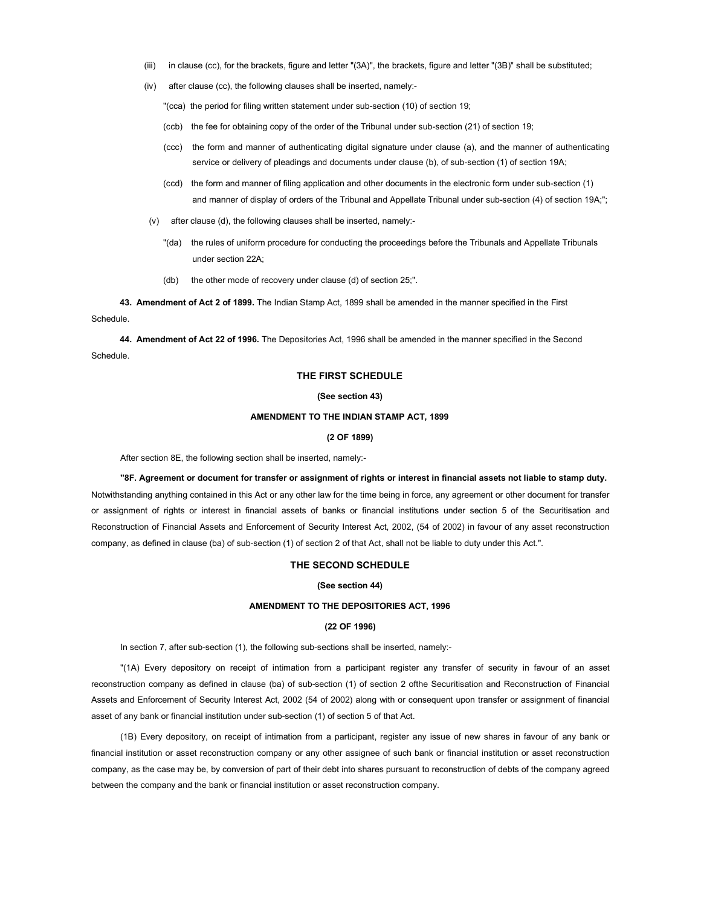- (iii) in clause (cc), for the brackets, figure and letter "(3A)", the brackets, figure and letter "(3B)" shall be substituted;
- (iv) after clause (cc), the following clauses shall be inserted, namely:-

"(cca) the period for filing written statement under sub-section (10) of section 19;

- (ccb) the fee for obtaining copy of the order of the Tribunal under sub-section (21) of section 19;
- (ccc) the form and manner of authenticating digital signature under clause (a), and the manner of authenticating service or delivery of pleadings and documents under clause (b), of sub-section (1) of section 19A;
- (ccd) the form and manner of filing application and other documents in the electronic form under sub-section (1) and manner of display of orders of the Tribunal and Appellate Tribunal under sub-section (4) of section 19A;";
- (v) after clause (d), the following clauses shall be inserted, namely:-
	- "(da) the rules of uniform procedure for conducting the proceedings before the Tribunals and Appellate Tribunals under section 22A;
	- (db) the other mode of recovery under clause (d) of section 25;".

43. Amendment of Act 2 of 1899. The Indian Stamp Act, 1899 shall be amended in the manner specified in the First Schedule.

44. Amendment of Act 22 of 1996. The Depositories Act, 1996 shall be amended in the manner specified in the Second Schedule.

## THE FIRST SCHEDULE

### (See section 43)

### AMENDMENT TO THE INDIAN STAMP ACT, 1899

#### (2 OF 1899)

After section 8E, the following section shall be inserted, namely:-

#### "8F. Agreement or document for transfer or assignment of rights or interest in financial assets not liable to stamp duty.

Notwithstanding anything contained in this Act or any other law for the time being in force, any agreement or other document for transfer or assignment of rights or interest in financial assets of banks or financial institutions under section 5 of the Securitisation and Reconstruction of Financial Assets and Enforcement of Security Interest Act, 2002, (54 of 2002) in favour of any asset reconstruction company, as defined in clause (ba) of sub-section (1) of section 2 of that Act, shall not be liable to duty under this Act.".

## THE SECOND SCHEDULE

#### (See section 44)

# AMENDMENT TO THE DEPOSITORIES ACT, 1996

### (22 OF 1996)

In section 7, after sub-section (1), the following sub-sections shall be inserted, namely:-

"(1A) Every depository on receipt of intimation from a participant register any transfer of security in favour of an asset reconstruction company as defined in clause (ba) of sub-section (1) of section 2 ofthe Securitisation and Reconstruction of Financial Assets and Enforcement of Security Interest Act, 2002 (54 of 2002) along with or consequent upon transfer or assignment of financial asset of any bank or financial institution under sub-section (1) of section 5 of that Act.

(1B) Every depository, on receipt of intimation from a participant, register any issue of new shares in favour of any bank or financial institution or asset reconstruction company or any other assignee of such bank or financial institution or asset reconstruction company, as the case may be, by conversion of part of their debt into shares pursuant to reconstruction of debts of the company agreed between the company and the bank or financial institution or asset reconstruction company.